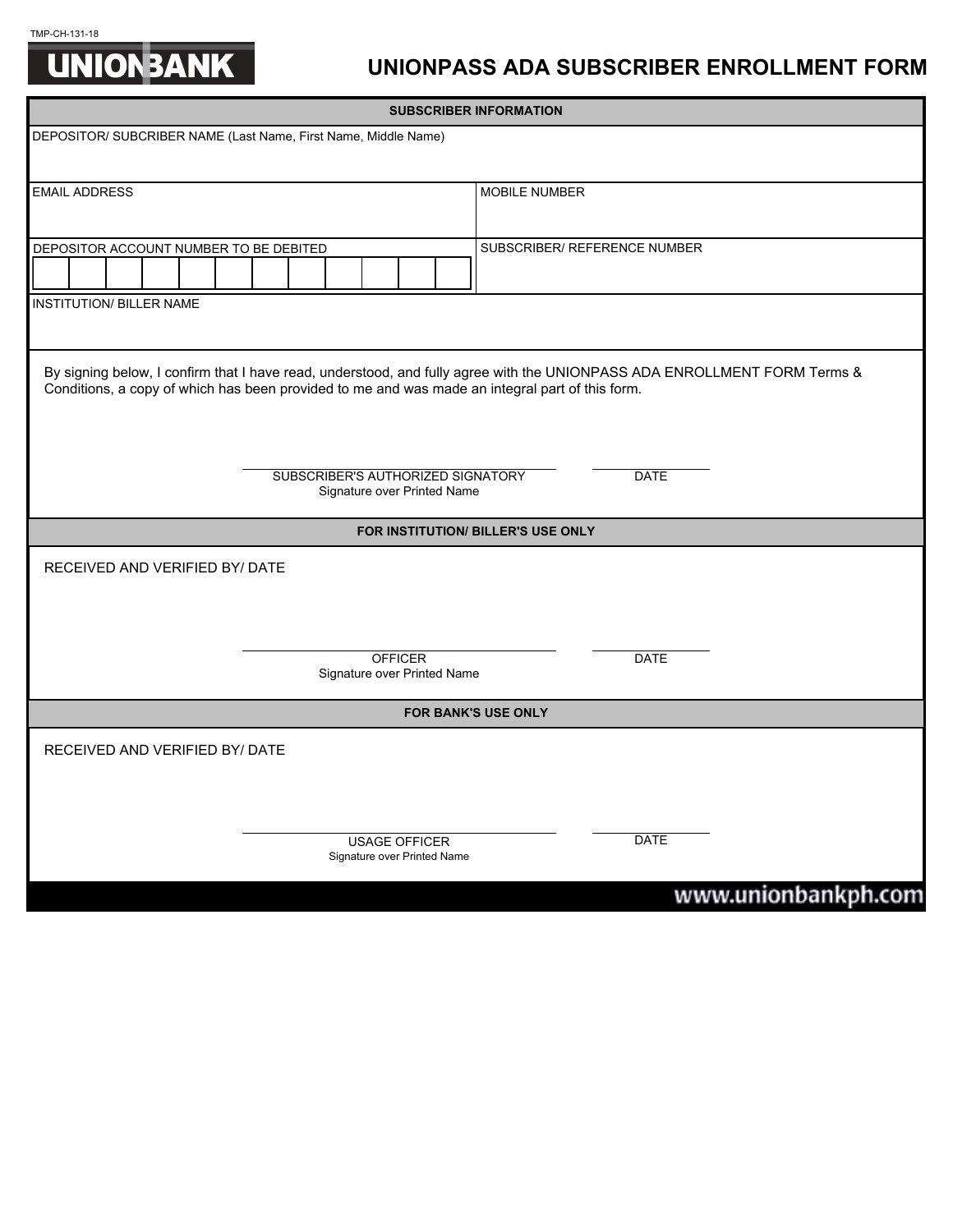## TMP-CH-131-18<br> **UNION BANK**



|                                                                                 | <b>SUBSCRIBER INFORMATION</b>                                                                                                                                                                                               |  |  |  |  |  |  |  |  |                              |               |  |
|---------------------------------------------------------------------------------|-----------------------------------------------------------------------------------------------------------------------------------------------------------------------------------------------------------------------------|--|--|--|--|--|--|--|--|------------------------------|---------------|--|
| DEPOSITOR/ SUBCRIBER NAME (Last Name, First Name, Middle Name)                  |                                                                                                                                                                                                                             |  |  |  |  |  |  |  |  |                              |               |  |
|                                                                                 |                                                                                                                                                                                                                             |  |  |  |  |  |  |  |  |                              |               |  |
|                                                                                 | <b>EMAIL ADDRESS</b>                                                                                                                                                                                                        |  |  |  |  |  |  |  |  |                              | MOBILE NUMBER |  |
|                                                                                 |                                                                                                                                                                                                                             |  |  |  |  |  |  |  |  |                              |               |  |
|                                                                                 | DEPOSITOR ACCOUNT NUMBER TO BE DEBITED                                                                                                                                                                                      |  |  |  |  |  |  |  |  | SUBSCRIBER/ REFERENCE NUMBER |               |  |
|                                                                                 |                                                                                                                                                                                                                             |  |  |  |  |  |  |  |  |                              |               |  |
| <b>INSTITUTION/ BILLER NAME</b>                                                 |                                                                                                                                                                                                                             |  |  |  |  |  |  |  |  |                              |               |  |
|                                                                                 |                                                                                                                                                                                                                             |  |  |  |  |  |  |  |  |                              |               |  |
|                                                                                 | By signing below, I confirm that I have read, understood, and fully agree with the UNIONPASS ADA ENROLLMENT FORM Terms &<br>Conditions, a copy of which has been provided to me and was made an integral part of this form. |  |  |  |  |  |  |  |  |                              |               |  |
| SUBSCRIBER'S AUTHORIZED SIGNATORY<br><b>DATE</b><br>Signature over Printed Name |                                                                                                                                                                                                                             |  |  |  |  |  |  |  |  |                              |               |  |
| FOR INSTITUTION/ BILLER'S USE ONLY                                              |                                                                                                                                                                                                                             |  |  |  |  |  |  |  |  |                              |               |  |
| RECEIVED AND VERIFIED BY/ DATE                                                  |                                                                                                                                                                                                                             |  |  |  |  |  |  |  |  |                              |               |  |
|                                                                                 |                                                                                                                                                                                                                             |  |  |  |  |  |  |  |  |                              |               |  |
|                                                                                 |                                                                                                                                                                                                                             |  |  |  |  |  |  |  |  |                              |               |  |
| <b>OFFICER</b><br>Signature over Printed Name                                   |                                                                                                                                                                                                                             |  |  |  |  |  |  |  |  | <b>DATE</b>                  |               |  |
| FOR BANK'S USE ONLY                                                             |                                                                                                                                                                                                                             |  |  |  |  |  |  |  |  |                              |               |  |
| RECEIVED AND VERIFIED BY/ DATE                                                  |                                                                                                                                                                                                                             |  |  |  |  |  |  |  |  |                              |               |  |
|                                                                                 |                                                                                                                                                                                                                             |  |  |  |  |  |  |  |  |                              |               |  |
|                                                                                 |                                                                                                                                                                                                                             |  |  |  |  |  |  |  |  |                              |               |  |
| <b>USAGE OFFICER</b><br>Signature over Printed Name                             |                                                                                                                                                                                                                             |  |  |  |  |  |  |  |  | DATE                         |               |  |

## www.unionbankph.com